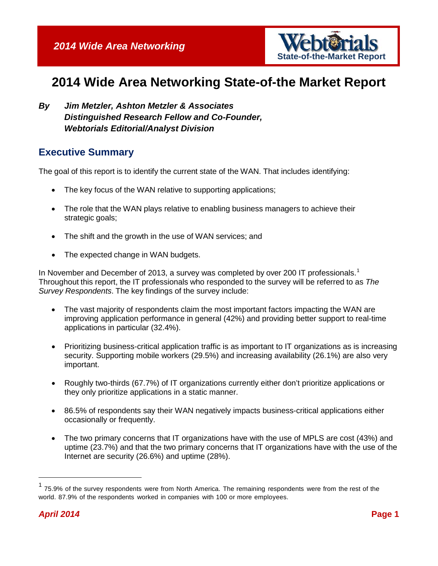

# **2014 Wide Area Networking State-of-the Market Report**

*By Jim Metzler, Ashton Metzler & Associates Distinguished Research Fellow and Co-Founder, Webtorials Editorial/Analyst Division*

#### **Executive Summary**

The goal of this report is to identify the current state of the WAN. That includes identifying:

- The key focus of the WAN relative to supporting applications;
- The role that the WAN plays relative to enabling business managers to achieve their strategic goals;
- The shift and the growth in the use of WAN services; and
- The expected change in WAN budgets.

In November and December of 20[1](#page-0-0)3, a survey was completed by over 200 IT professionals.<sup>1</sup> Throughout this report, the IT professionals who responded to the survey will be referred to as *The Survey Respondents*. The key findings of the survey include:

- The vast majority of respondents claim the most important factors impacting the WAN are improving application performance in general (42%) and providing better support to real-time applications in particular (32.4%).
- Prioritizing business-critical application traffic is as important to IT organizations as is increasing security. Supporting mobile workers (29.5%) and increasing availability (26.1%) are also very important.
- Roughly two-thirds (67.7%) of IT organizations currently either don't prioritize applications or they only prioritize applications in a static manner.
- 86.5% of respondents say their WAN negatively impacts business-critical applications either occasionally or frequently.
- The two primary concerns that IT organizations have with the use of MPLS are cost (43%) and uptime (23.7%) and that the two primary concerns that IT organizations have with the use of the Internet are security (26.6%) and uptime (28%).

<span id="page-0-0"></span> <sup>1</sup> 75.9% of the survey respondents were from North America. The remaining respondents were from the rest of the world. 87.9% of the respondents worked in companies with 100 or more employees.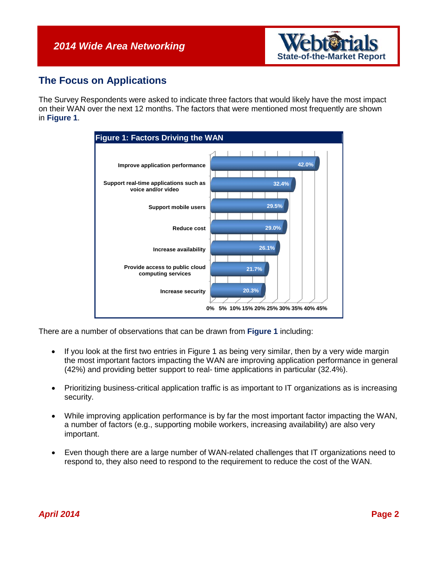

#### **The Focus on Applications**

The Survey Respondents were asked to indicate three factors that would likely have the most impact on their WAN over the next 12 months. The factors that were mentioned most frequently are shown in **[Figure](#page-1-0) 1**.

<span id="page-1-0"></span>

There are a number of observations that can be drawn from **[Figure](#page-1-0) 1** including:

- If you look at the first two entries in [Figure](#page-1-0) 1 as being very similar, then by a very wide margin the most important factors impacting the WAN are improving application performance in general (42%) and providing better support to real- time applications in particular (32.4%).
- Prioritizing business-critical application traffic is as important to IT organizations as is increasing security.
- While improving application performance is by far the most important factor impacting the WAN, a number of factors (e.g., supporting mobile workers, increasing availability) are also very important.
- Even though there are a large number of WAN-related challenges that IT organizations need to respond to, they also need to respond to the requirement to reduce the cost of the WAN.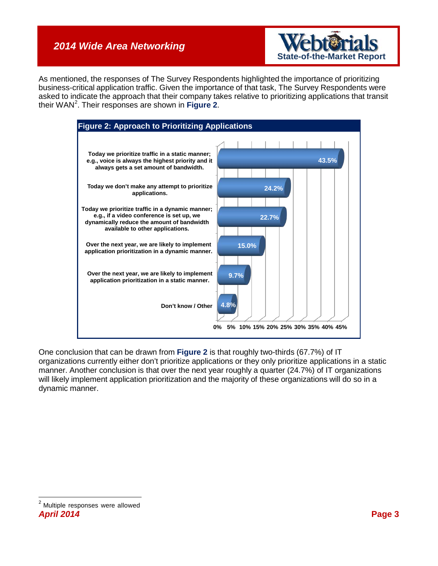

As mentioned, the responses of The Survey Respondents highlighted the importance of prioritizing business-critical application traffic. Given the importance of that task, The Survey Respondents were asked to indicate the approach that their company takes relative to prioritizing applications that transit their WAN[2](#page-2-1) . Their responses are shown in **[Figure](#page-2-0) 2**.

<span id="page-2-0"></span>

One conclusion that can be drawn from **[Figure](#page-2-0) 2** is that roughly two-thirds (67.7%) of IT organizations currently either don't prioritize applications or they only prioritize applications in a static manner. Another conclusion is that over the next year roughly a quarter (24.7%) of IT organizations will likely implement application prioritization and the majority of these organizations will do so in a dynamic manner.

<span id="page-2-1"></span>*April 2014* **Page 3** 2 Multiple responses were allowed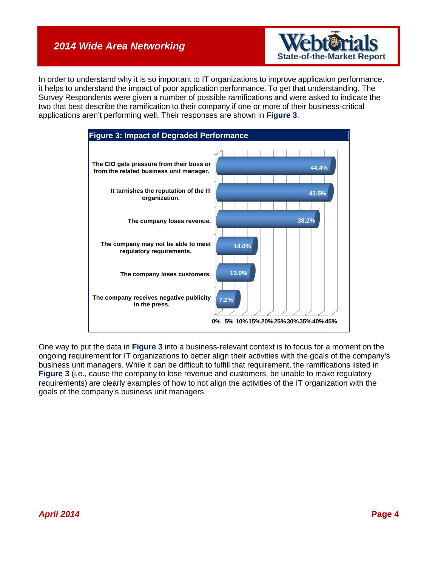

In order to understand why it is so important to IT organizations to improve application performance, it helps to understand the impact of poor application performance. To get that understanding, The Survey Respondents were given a number of possible ramifications and were asked to indicate the two that best describe the ramification to their company if one or more of their business-critical applications aren't performing well. Their responses are shown in **[Figure](#page-3-0) 3**.

<span id="page-3-0"></span>

One way to put the data in **[Figure](#page-3-0) 3** into a business-relevant context is to focus for a moment on the ongoing requirement for IT organizations to better align their activities with the goals of the company's business unit managers. While it can be difficult to fulfill that requirement, the ramifications listed in **[Figure](#page-3-0) 3** (i.e., cause the company to lose revenue and customers, be unable to make regulatory requirements) are clearly examples of how to not align the activities of the IT organization with the goals of the company's business unit managers.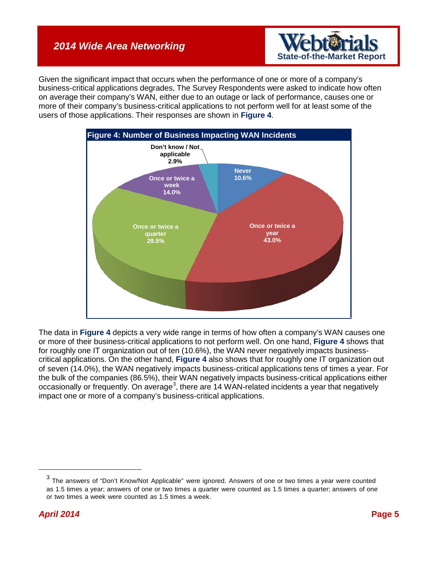

Given the significant impact that occurs when the performance of one or more of a company's business-critical applications degrades, The Survey Respondents were asked to indicate how often on average their company's WAN, either due to an outage or lack of performance, causes one or more of their company's business-critical applications to not perform well for at least some of the users of those applications. Their responses are shown in **[Figure](#page-4-0) 4**.

<span id="page-4-0"></span>

The data in **[Figure](#page-4-0) 4** depicts a very wide range in terms of how often a company's WAN causes one or more of their business-critical applications to not perform well. On one hand, **[Figure](#page-4-0) 4** shows that for roughly one IT organization out of ten (10.6%), the WAN never negatively impacts businesscritical applications. On the other hand, **[Figure](#page-4-0) 4** also shows that for roughly one IT organization out of seven (14.0%), the WAN negatively impacts business-critical applications tens of times a year. For the bulk of the companies (86.5%), their WAN negatively impacts business-critical applications either occasionally or frequently. On average<sup>[3](#page-4-1)</sup>, there are 14 WAN-related incidents a year that negatively impact one or more of a company's business-critical applications.

<span id="page-4-1"></span> $3$  The answers of "Don't Know/Not Applicable" were ignored. Answers of one or two times a year were counted as 1.5 times a year; answers of one or two times a quarter were counted as 1.5 times a quarter; answers of one or two times a week were counted as 1.5 times a week.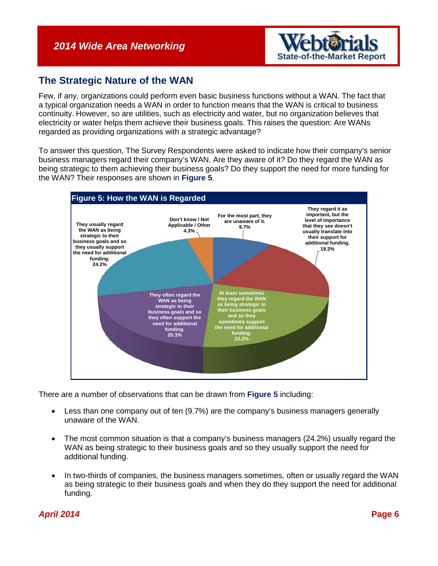

#### **The Strategic Nature of the WAN**

Few, if any, organizations could perform even basic business functions without a WAN. The fact that a typical organization needs a WAN in order to function means that the WAN is critical to business continuity. However, so are utilities, such as electricity and water, but no organization believes that electricity or water helps them achieve their business goals. This raises the question: Are WANs regarded as providing organizations with a strategic advantage?

To answer this question, The Survey Respondents were asked to indicate how their company's senior business managers regard their company's WAN. Are they aware of it? Do they regard the WAN as being strategic to them achieving their business goals? Do they support the need for more funding for the WAN? Their responses are shown in **[Figure](#page-5-0) 5**.

<span id="page-5-0"></span>

There are a number of observations that can be drawn from **[Figure](#page-5-0) 5** including:

- Less than one company out of ten (9.7%) are the company's business managers generally unaware of the WAN.
- The most common situation is that a company's business managers (24.2%) usually regard the WAN as being strategic to their business goals and so they usually support the need for additional funding.
- In two-thirds of companies, the business managers sometimes, often or usually regard the WAN as being strategic to their business goals and when they do they support the need for additional funding.

#### *April 2014* **Page 6**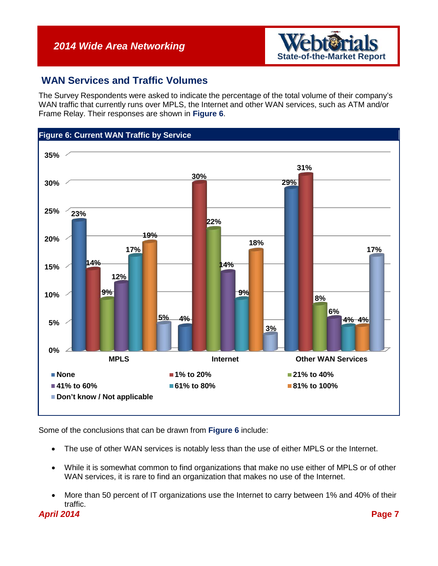

#### **WAN Services and Traffic Volumes**

The Survey Respondents were asked to indicate the percentage of the total volume of their company's WAN traffic that currently runs over MPLS, the Internet and other WAN services, such as ATM and/or Frame Relay. Their responses are shown in **[Figure](#page-6-0) 6**.

<span id="page-6-0"></span>

Some of the conclusions that can be drawn from **[Figure](#page-6-0) 6** include:

- The use of other WAN services is notably less than the use of either MPLS or the Internet.
- While it is somewhat common to find organizations that make no use either of MPLS or of other WAN services, it is rare to find an organization that makes no use of the Internet.
- More than 50 percent of IT organizations use the Internet to carry between 1% and 40% of their traffic.

*April 2014* **Page 7**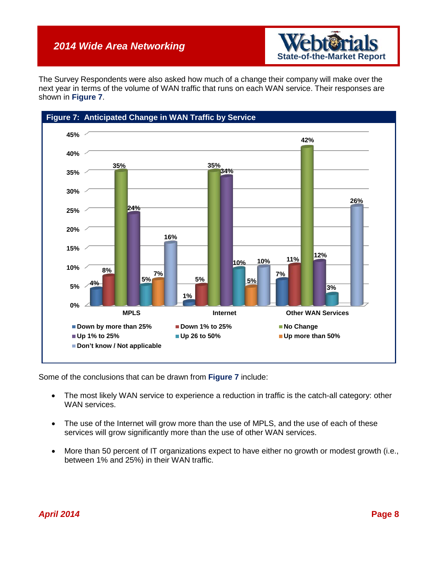

The Survey Respondents were also asked how much of a change their company will make over the next year in terms of the volume of WAN traffic that runs on each WAN service. Their responses are shown in **[Figure](#page-7-0) 7**.

<span id="page-7-0"></span>

Some of the conclusions that can be drawn from **[Figure](#page-7-0) 7** include:

- The most likely WAN service to experience a reduction in traffic is the catch-all category: other WAN services.
- The use of the Internet will grow more than the use of MPLS, and the use of each of these services will grow significantly more than the use of other WAN services.
- More than 50 percent of IT organizations expect to have either no growth or modest growth (i.e., between 1% and 25%) in their WAN traffic.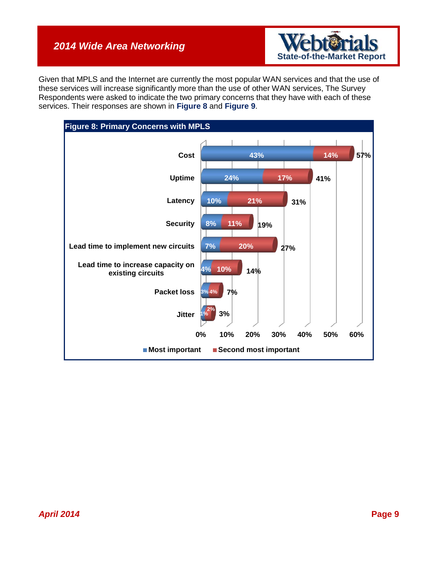

Given that MPLS and the Internet are currently the most popular WAN services and that the use of these services will increase significantly more than the use of other WAN services, The Survey Respondents were asked to indicate the two primary concerns that they have with each of these services. Their responses are shown in **[Figure](#page-8-0) 8** and **[Figure](#page-9-0) 9**.

<span id="page-8-0"></span>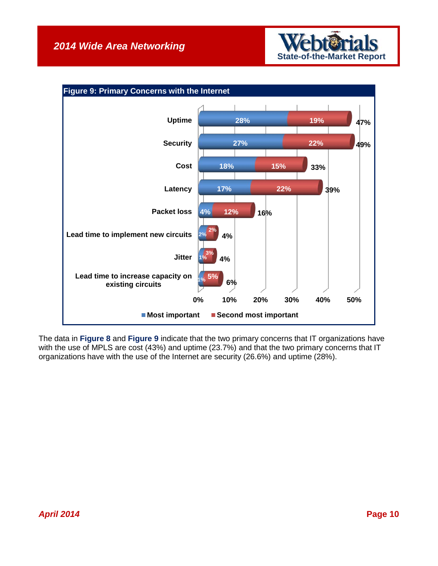

<span id="page-9-0"></span>

The data in **[Figure](#page-8-0) 8** and **[Figure](#page-9-0) 9** indicate that the two primary concerns that IT organizations have with the use of MPLS are cost (43%) and uptime (23.7%) and that the two primary concerns that IT organizations have with the use of the Internet are security (26.6%) and uptime (28%).

#### *April 2014* **Page 10**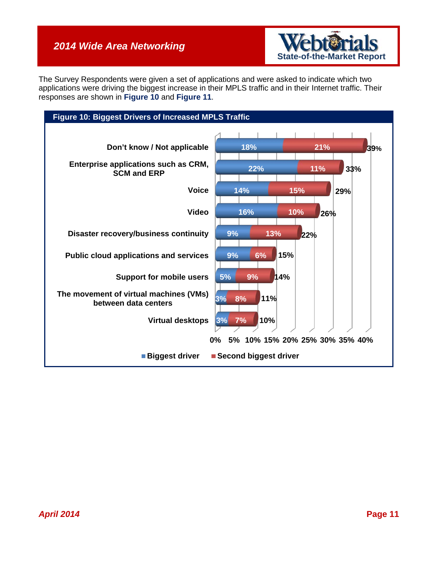

The Survey Respondents were given a set of applications and were asked to indicate which two applications were driving the biggest increase in their MPLS traffic and in their Internet traffic. Their responses are shown in **[Figure](#page-10-0) 10** and **[Figure](#page-11-0) 11**.

<span id="page-10-0"></span>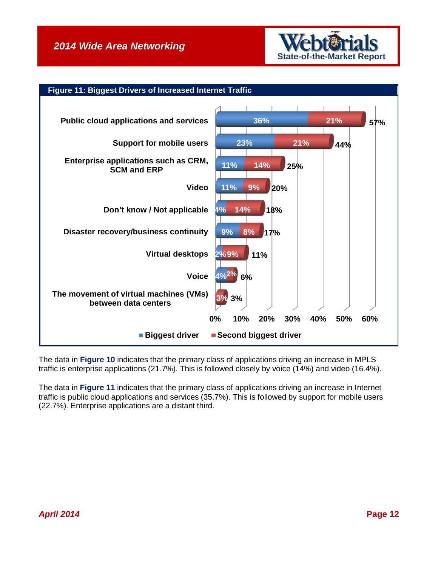

<span id="page-11-0"></span>

The data in **[Figure](#page-10-0) 10** indicates that the primary class of applications driving an increase in MPLS traffic is enterprise applications (21.7%). This is followed closely by voice (14%) and video (16.4%).

The data in **[Figure](#page-11-0) 11** indicates that the primary class of applications driving an increase in Internet traffic is public cloud applications and services (35.7%). This is followed by support for mobile users (22.7%). Enterprise applications are a distant third.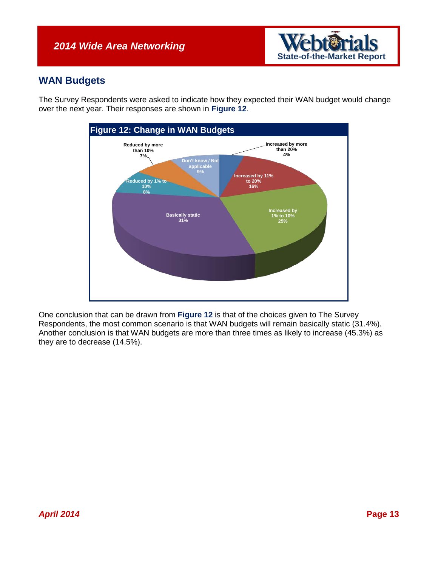

### **WAN Budgets**

The Survey Respondents were asked to indicate how they expected their WAN budget would change over the next year. Their responses are shown in **[Figure](#page-12-0) 12**.

<span id="page-12-0"></span>

One conclusion that can be drawn from **[Figure](#page-12-0) 12** is that of the choices given to The Survey Respondents, the most common scenario is that WAN budgets will remain basically static (31.4%). Another conclusion is that WAN budgets are more than three times as likely to increase (45.3%) as they are to decrease (14.5%).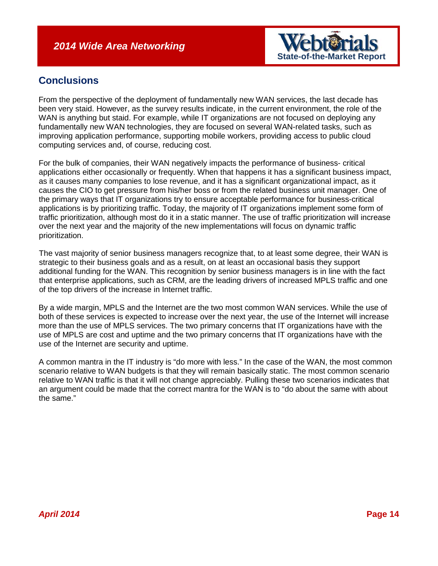

### **Conclusions**

From the perspective of the deployment of fundamentally new WAN services, the last decade has been very staid. However, as the survey results indicate, in the current environment, the role of the WAN is anything but staid. For example, while IT organizations are not focused on deploying any fundamentally new WAN technologies, they are focused on several WAN-related tasks, such as improving application performance, supporting mobile workers, providing access to public cloud computing services and, of course, reducing cost.

For the bulk of companies, their WAN negatively impacts the performance of business- critical applications either occasionally or frequently. When that happens it has a significant business impact, as it causes many companies to lose revenue, and it has a significant organizational impact, as it causes the CIO to get pressure from his/her boss or from the related business unit manager. One of the primary ways that IT organizations try to ensure acceptable performance for business-critical applications is by prioritizing traffic. Today, the majority of IT organizations implement some form of traffic prioritization, although most do it in a static manner. The use of traffic prioritization will increase over the next year and the majority of the new implementations will focus on dynamic traffic prioritization.

The vast majority of senior business managers recognize that, to at least some degree, their WAN is strategic to their business goals and as a result, on at least an occasional basis they support additional funding for the WAN. This recognition by senior business managers is in line with the fact that enterprise applications, such as CRM, are the leading drivers of increased MPLS traffic and one of the top drivers of the increase in Internet traffic.

By a wide margin, MPLS and the Internet are the two most common WAN services. While the use of both of these services is expected to increase over the next year, the use of the Internet will increase more than the use of MPLS services. The two primary concerns that IT organizations have with the use of MPLS are cost and uptime and the two primary concerns that IT organizations have with the use of the Internet are security and uptime.

A common mantra in the IT industry is "do more with less." In the case of the WAN, the most common scenario relative to WAN budgets is that they will remain basically static. The most common scenario relative to WAN traffic is that it will not change appreciably. Pulling these two scenarios indicates that an argument could be made that the correct mantra for the WAN is to "do about the same with about the same."